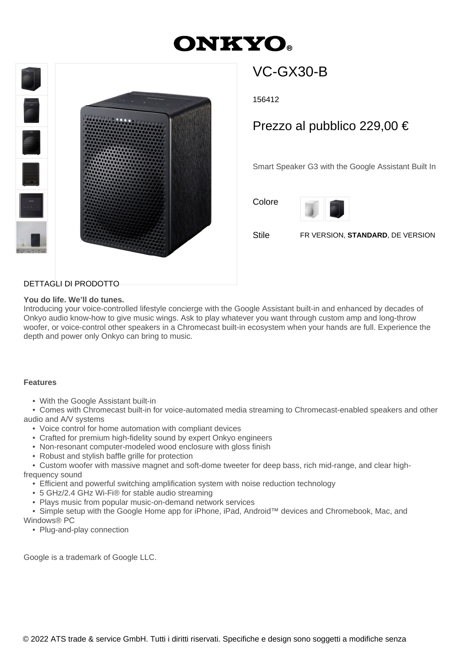# **ONKYO.**



## VC-GX30-B

156412

### Prezzo al pubblico 229,00 €

Smart Speaker G3 with the Google Assistant Built In

Colore



Stile FR VERSION, **STANDARD**, DE VERSION

#### DETTAGLI DI PRODOTTO

#### **You do life. We'll do tunes.**

Introducing your voice-controlled lifestyle concierge with the Google Assistant built-in and enhanced by decades of Onkyo audio know-how to give music wings. Ask to play whatever you want through custom amp and long-throw woofer, or voice-control other speakers in a Chromecast built-in ecosystem when your hands are full. Experience the depth and power only Onkyo can bring to music.

#### **Features**

• With the Google Assistant built-in

 • Comes with Chromecast built-in for voice-automated media streaming to Chromecast-enabled speakers and other audio and A/V systems

- Voice control for home automation with compliant devices
- Crafted for premium high-fidelity sound by expert Onkyo engineers
- Non-resonant computer-modeled wood enclosure with gloss finish
- Robust and stylish baffle grille for protection

 • Custom woofer with massive magnet and soft-dome tweeter for deep bass, rich mid-range, and clear highfrequency sound

- Efficient and powerful switching amplification system with noise reduction technology
- 5 GHz/2.4 GHz Wi-Fi® for stable audio streaming
- Plays music from popular music-on-demand network services

 • Simple setup with the Google Home app for iPhone, iPad, Android™ devices and Chromebook, Mac, and Windows® PC

• Plug-and-play connection

Google is a trademark of Google LLC.